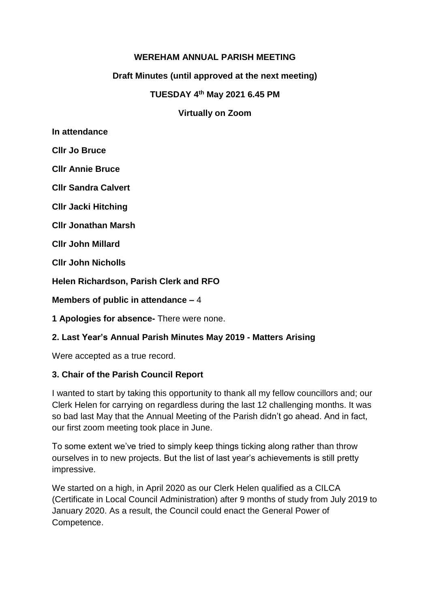# **WEREHAM ANNUAL PARISH MEETING**

### **Draft Minutes (until approved at the next meeting)**

#### **TUESDAY 4 th May 2021 6.45 PM**

#### **Virtually on Zoom**

**In attendance** 

**Cllr Jo Bruce**

**Cllr Annie Bruce**

**Cllr Sandra Calvert**

**Cllr Jacki Hitching**

**Cllr Jonathan Marsh**

**Cllr John Millard**

**Cllr John Nicholls**

**Helen Richardson, Parish Clerk and RFO**

**Members of public in attendance –** 4

**1 Apologies for absence-** There were none.

### **2. Last Year's Annual Parish Minutes May 2019 - Matters Arising**

Were accepted as a true record.

### **3. Chair of the Parish Council Report**

I wanted to start by taking this opportunity to thank all my fellow councillors and; our Clerk Helen for carrying on regardless during the last 12 challenging months. It was so bad last May that the Annual Meeting of the Parish didn't go ahead. And in fact, our first zoom meeting took place in June.

To some extent we've tried to simply keep things ticking along rather than throw ourselves in to new projects. But the list of last year's achievements is still pretty impressive.

We started on a high, in April 2020 as our Clerk Helen qualified as a CILCA (Certificate in Local Council Administration) after 9 months of study from July 2019 to January 2020. As a result, the Council could enact the General Power of Competence.